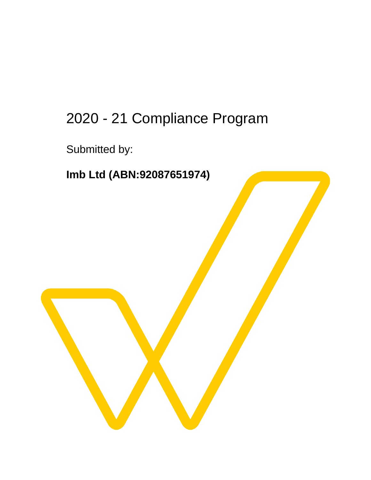# 2020 - 21 Compliance Program

Submitted by:

**Imb Ltd (ABN:92087651974)**

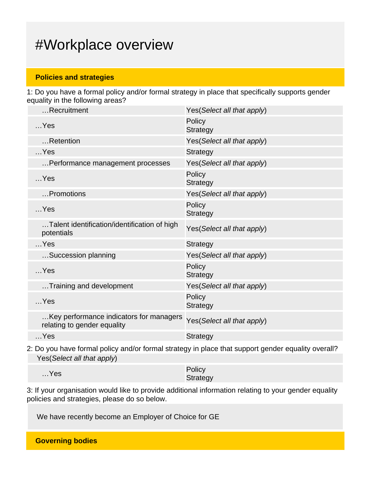## #Workplace overview

#### **Policies and strategies**

1: Do you have a formal policy and/or formal strategy in place that specifically supports gender equality in the following areas?

| Recruitment                                                            | Yes(Select all that apply) |
|------------------------------------------------------------------------|----------------------------|
| $$ Yes                                                                 | Policy<br><b>Strategy</b>  |
| Retention                                                              | Yes(Select all that apply) |
| $$ Yes                                                                 | <b>Strategy</b>            |
| Performance management processes                                       | Yes(Select all that apply) |
| $$ Yes                                                                 | Policy<br><b>Strategy</b>  |
| Promotions                                                             | Yes(Select all that apply) |
| $$ Yes                                                                 | Policy<br><b>Strategy</b>  |
| Talent identification/identification of high<br>potentials             | Yes(Select all that apply) |
| $$ Yes                                                                 | <b>Strategy</b>            |
| Succession planning                                                    | Yes(Select all that apply) |
| $$ Yes                                                                 | Policy<br><b>Strategy</b>  |
| Training and development                                               | Yes(Select all that apply) |
| $$ Yes                                                                 | Policy<br><b>Strategy</b>  |
| Key performance indicators for managers<br>relating to gender equality | Yes(Select all that apply) |
| $$ Yes                                                                 | <b>Strategy</b>            |
|                                                                        |                            |

2: Do you have formal policy and/or formal strategy in place that support gender equality overall? Yes(Select all that apply)

| $$ Yes | Policy   |
|--------|----------|
|        | Strategy |

3: If your organisation would like to provide additional information relating to your gender equality policies and strategies, please do so below.

We have recently become an Employer of Choice for GE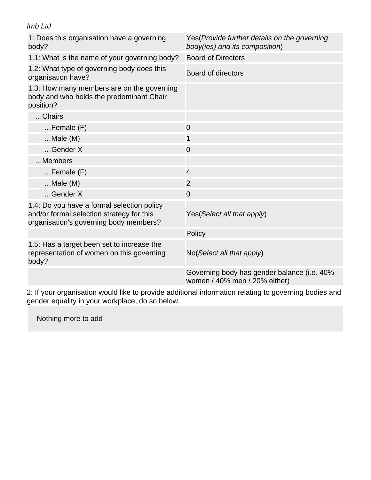| Imb Ltd                                                                                                                           |                                                                                |  |
|-----------------------------------------------------------------------------------------------------------------------------------|--------------------------------------------------------------------------------|--|
| 1: Does this organisation have a governing<br>body?                                                                               | Yes(Provide further details on the governing<br>body(ies) and its composition) |  |
| 1.1: What is the name of your governing body?                                                                                     | <b>Board of Directors</b>                                                      |  |
| 1.2: What type of governing body does this<br>organisation have?                                                                  | <b>Board of directors</b>                                                      |  |
| 1.3: How many members are on the governing<br>body and who holds the predominant Chair<br>position?                               |                                                                                |  |
| Chairs                                                                                                                            |                                                                                |  |
| $F$ emale $(F)$                                                                                                                   | $\overline{0}$                                                                 |  |
| $$ Male (M)                                                                                                                       | 1                                                                              |  |
| Gender X                                                                                                                          | $\overline{0}$                                                                 |  |
| Members                                                                                                                           |                                                                                |  |
| $F$ emale $(F)$                                                                                                                   | $\overline{4}$                                                                 |  |
| $$ Male $(M)$                                                                                                                     | 2                                                                              |  |
| Gender X                                                                                                                          | $\overline{0}$                                                                 |  |
| 1.4: Do you have a formal selection policy<br>and/or formal selection strategy for this<br>organisation's governing body members? | Yes (Select all that apply)                                                    |  |
|                                                                                                                                   | Policy                                                                         |  |
| 1.5: Has a target been set to increase the<br>representation of women on this governing<br>body?                                  | No(Select all that apply)                                                      |  |
|                                                                                                                                   | Governing body has gender balance (i.e. 40%<br>women / 40% men / 20% either)   |  |

2: If your organisation would like to provide additional information relating to governing bodies and gender equality in your workplace, do so below.

Nothing more to add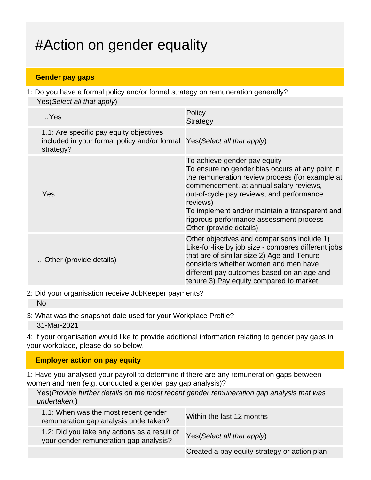# #Action on gender equality

#### **Gender pay gaps**

1: Do you have a formal policy and/or formal strategy on remuneration generally? Yes(Select all that apply)

| $$ Yes                                                                                               | Policy<br><b>Strategy</b>                                                                                                                                                                                                                                                                                                                                      |
|------------------------------------------------------------------------------------------------------|----------------------------------------------------------------------------------------------------------------------------------------------------------------------------------------------------------------------------------------------------------------------------------------------------------------------------------------------------------------|
| 1.1: Are specific pay equity objectives<br>included in your formal policy and/or formal<br>strategy? | Yes (Select all that apply)                                                                                                                                                                                                                                                                                                                                    |
| $$ Yes                                                                                               | To achieve gender pay equity<br>To ensure no gender bias occurs at any point in<br>the remuneration review process (for example at<br>commencement, at annual salary reviews,<br>out-of-cycle pay reviews, and performance<br>reviews)<br>To implement and/or maintain a transparent and<br>rigorous performance assessment process<br>Other (provide details) |
| Other (provide details)                                                                              | Other objectives and comparisons include 1)<br>Like-for-like by job size - compares different jobs<br>that are of similar size 2) Age and Tenure -<br>considers whether women and men have<br>different pay outcomes based on an age and<br>tenure 3) Pay equity compared to market                                                                            |

<sup>2:</sup> Did your organisation receive JobKeeper payments?

3: What was the snapshot date used for your Workplace Profile? 31-Mar-2021

4: If your organisation would like to provide additional information relating to gender pay gaps in your workplace, please do so below.

### **Employer action on pay equity**

1: Have you analysed your payroll to determine if there are any remuneration gaps between women and men (e.g. conducted a gender pay gap analysis)?

Yes(Provide further details on the most recent gender remuneration gap analysis that was undertaken.)

| 1.1: When was the most recent gender<br>remuneration gap analysis undertaken?          | Within the last 12 months                    |
|----------------------------------------------------------------------------------------|----------------------------------------------|
| 1.2: Did you take any actions as a result of<br>your gender remuneration gap analysis? | Yes (Select all that apply)                  |
|                                                                                        | Created a pay equity strategy or action plan |

No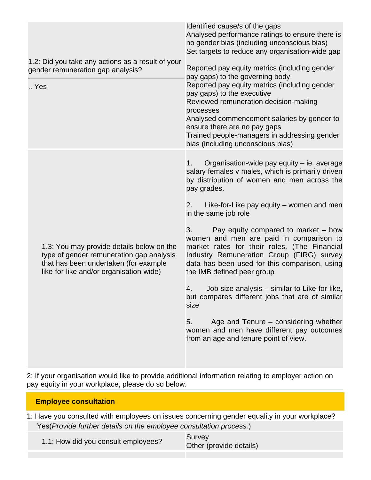| 1.2: Did you take any actions as a result of your<br>gender remuneration gap analysis?<br>Yes                                                                             | Identified cause/s of the gaps<br>Analysed performance ratings to ensure there is<br>no gender bias (including unconscious bias)<br>Set targets to reduce any organisation-wide gap<br>Reported pay equity metrics (including gender<br>pay gaps) to the governing body<br>Reported pay equity metrics (including gender<br>pay gaps) to the executive<br>Reviewed remuneration decision-making<br>processes<br>Analysed commencement salaries by gender to<br>ensure there are no pay gaps<br>Trained people-managers in addressing gender<br>bias (including unconscious bias)                                                                                                                                                                                        |
|---------------------------------------------------------------------------------------------------------------------------------------------------------------------------|-------------------------------------------------------------------------------------------------------------------------------------------------------------------------------------------------------------------------------------------------------------------------------------------------------------------------------------------------------------------------------------------------------------------------------------------------------------------------------------------------------------------------------------------------------------------------------------------------------------------------------------------------------------------------------------------------------------------------------------------------------------------------|
| 1.3: You may provide details below on the<br>type of gender remuneration gap analysis<br>that has been undertaken (for example<br>like-for-like and/or organisation-wide) | Organisation-wide pay equity - ie. average<br>1.<br>salary females v males, which is primarily driven<br>by distribution of women and men across the<br>pay grades.<br>Like-for-Like pay equity – women and men<br>2.<br>in the same job role<br>3.<br>Pay equity compared to market – how<br>women and men are paid in comparison to<br>market rates for their roles. (The Financial<br>Industry Remuneration Group (FIRG) survey<br>data has been used for this comparison, using<br>the IMB defined peer group<br>Job size analysis – similar to Like-for-like,<br>4.<br>but compares different jobs that are of similar<br>size<br>Age and Tenure – considering whether<br>5.<br>women and men have different pay outcomes<br>from an age and tenure point of view. |

2: If your organisation would like to provide additional information relating to employer action on pay equity in your workplace, please do so below.

| 1: Have you consulted with employees on issues concerning gender equality in your workplace? |  |
|----------------------------------------------------------------------------------------------|--|
| Yes (Provide further details on the employee consultation process.)                          |  |

1.1: How did you consult employees? Survey

**Employee consultation**

Other (provide details)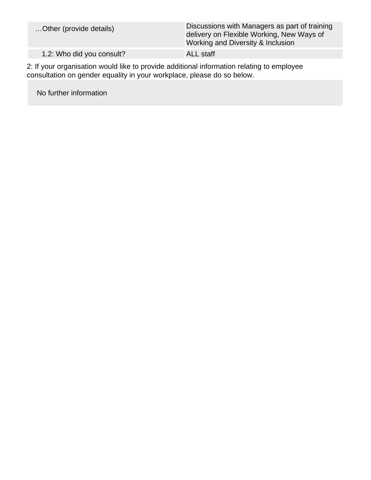| Discussions with Managers as part of training<br>delivery on Flexible Working, New Ways of<br>Working and Diversity & Inclusion |
|---------------------------------------------------------------------------------------------------------------------------------|
| <b>ALL</b> staff                                                                                                                |
|                                                                                                                                 |

2: If your organisation would like to provide additional information relating to employee consultation on gender equality in your workplace, please do so below.

No further information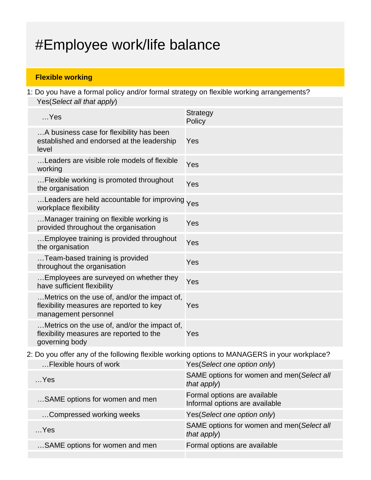# #Employee work/life balance

### **Flexible working**

1: Do you have a formal policy and/or formal strategy on flexible working arrangements? Yes(Select all that apply)

| $$ Yes                                                                                                           | <b>Strategy</b><br>Policy |
|------------------------------------------------------------------------------------------------------------------|---------------------------|
| A business case for flexibility has been<br>established and endorsed at the leadership<br>level                  | Yes                       |
| Leaders are visible role models of flexible<br>working                                                           | Yes                       |
| Flexible working is promoted throughout<br>the organisation                                                      | Yes                       |
| Leaders are held accountable for improving Yes<br>workplace flexibility                                          |                           |
| Manager training on flexible working is<br>provided throughout the organisation                                  | Yes                       |
| Employee training is provided throughout<br>the organisation                                                     | Yes                       |
| Team-based training is provided<br>throughout the organisation                                                   | Yes                       |
| Employees are surveyed on whether they<br>have sufficient flexibility                                            | Yes                       |
| Metrics on the use of, and/or the impact of,<br>flexibility measures are reported to key<br>management personnel | Yes                       |
| Metrics on the use of, and/or the impact of,<br>flexibility measures are reported to the<br>governing body       | Yes                       |

2: Do you offer any of the following flexible working options to MANAGERS in your workplace?

| Flexible hours of work         | Yes(Select one option only)                                    |
|--------------------------------|----------------------------------------------------------------|
| $$ Yes                         | SAME options for women and men(Select all<br>that apply)       |
| SAME options for women and men | Formal options are available<br>Informal options are available |
| Compressed working weeks       | Yes (Select one option only)                                   |
| $$ Yes                         | SAME options for women and men(Select all<br>that apply)       |
| SAME options for women and men | Formal options are available                                   |
|                                |                                                                |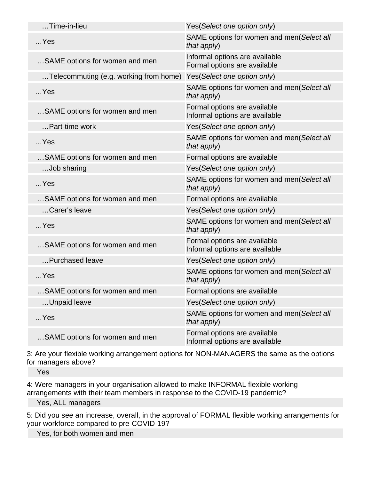| $\dots$ Time-in-lieu                   | Yes(Select one option only)                                    |
|----------------------------------------|----------------------------------------------------------------|
| $$ Yes                                 | SAME options for women and men(Select all<br>that apply)       |
| SAME options for women and men         | Informal options are available<br>Formal options are available |
| Telecommuting (e.g. working from home) | Yes(Select one option only)                                    |
| $$ Yes                                 | SAME options for women and men(Select all<br>that apply)       |
| SAME options for women and men         | Formal options are available<br>Informal options are available |
| Part-time work                         | Yes(Select one option only)                                    |
| $$ Yes                                 | SAME options for women and men(Select all<br>that apply)       |
| SAME options for women and men         | Formal options are available                                   |
| Job sharing                            | Yes(Select one option only)                                    |
| $$ Yes                                 | SAME options for women and men(Select all<br>that apply)       |
| SAME options for women and men         | Formal options are available                                   |
| Carer's leave                          | Yes(Select one option only)                                    |
| $$ Yes                                 | SAME options for women and men(Select all<br>that apply)       |
| SAME options for women and men         | Formal options are available<br>Informal options are available |
| Purchased leave                        | Yes(Select one option only)                                    |
| $$ Yes                                 | SAME options for women and men(Select all<br>that $apply$ )    |
| SAME options for women and men         | Formal options are available                                   |
| Unpaid leave                           | Yes(Select one option only)                                    |
| $$ Yes                                 | SAME options for women and men(Select all<br>that apply)       |
| SAME options for women and men         | Formal options are available<br>Informal options are available |

3: Are your flexible working arrangement options for NON-MANAGERS the same as the options for managers above?

Yes

4: Were managers in your organisation allowed to make INFORMAL flexible working arrangements with their team members in response to the COVID-19 pandemic?

Yes, ALL managers

5: Did you see an increase, overall, in the approval of FORMAL flexible working arrangements for your workforce compared to pre-COVID-19?

Yes, for both women and men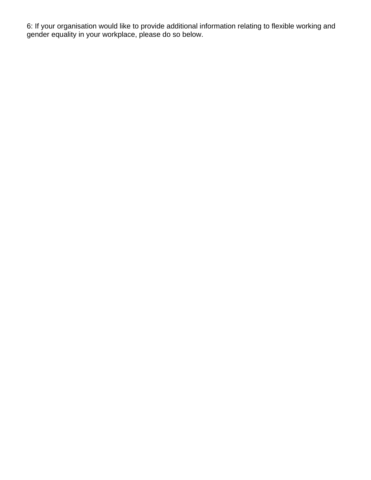6: If your organisation would like to provide additional information relating to flexible working and gender equality in your workplace, please do so below.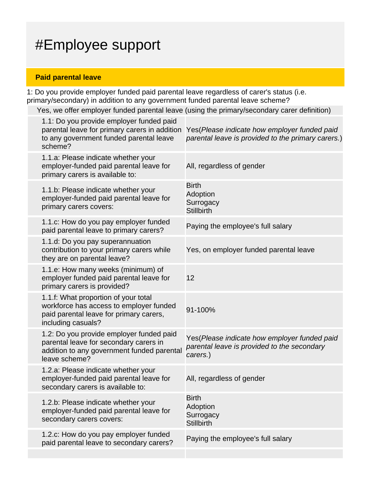# #Employee support

### **Paid parental leave**

1: Do you provide employer funded paid parental leave regardless of carer's status (i.e. primary/secondary) in addition to any government funded parental leave scheme?

Yes, we offer employer funded parental leave (using the primary/secondary carer definition)

| 1.1: Do you provide employer funded paid<br>parental leave for primary carers in addition<br>to any government funded parental leave<br>scheme?   | Yes (Please indicate how employer funded paid<br>parental leave is provided to the primary carers.)     |
|---------------------------------------------------------------------------------------------------------------------------------------------------|---------------------------------------------------------------------------------------------------------|
| 1.1.a: Please indicate whether your<br>employer-funded paid parental leave for<br>primary carers is available to:                                 | All, regardless of gender                                                                               |
| 1.1.b: Please indicate whether your<br>employer-funded paid parental leave for<br>primary carers covers:                                          | <b>Birth</b><br>Adoption<br>Surrogacy<br><b>Stillbirth</b>                                              |
| 1.1.c: How do you pay employer funded<br>paid parental leave to primary carers?                                                                   | Paying the employee's full salary                                                                       |
| 1.1.d: Do you pay superannuation<br>contribution to your primary carers while<br>they are on parental leave?                                      | Yes, on employer funded parental leave                                                                  |
| 1.1.e: How many weeks (minimum) of<br>employer funded paid parental leave for<br>primary carers is provided?                                      | 12                                                                                                      |
| 1.1.f: What proportion of your total<br>workforce has access to employer funded<br>paid parental leave for primary carers,<br>including casuals?  | 91-100%                                                                                                 |
| 1.2: Do you provide employer funded paid<br>parental leave for secondary carers in<br>addition to any government funded parental<br>leave scheme? | Yes(Please indicate how employer funded paid<br>parental leave is provided to the secondary<br>carers.) |
| 1.2.a: Please indicate whether your<br>employer-funded paid parental leave for<br>secondary carers is available to:                               | All, regardless of gender                                                                               |
| 1.2.b: Please indicate whether your<br>employer-funded paid parental leave for<br>secondary carers covers:                                        | <b>Birth</b><br>Adoption<br>Surrogacy<br><b>Stillbirth</b>                                              |
| 1.2.c: How do you pay employer funded<br>paid parental leave to secondary carers?                                                                 | Paying the employee's full salary                                                                       |
|                                                                                                                                                   |                                                                                                         |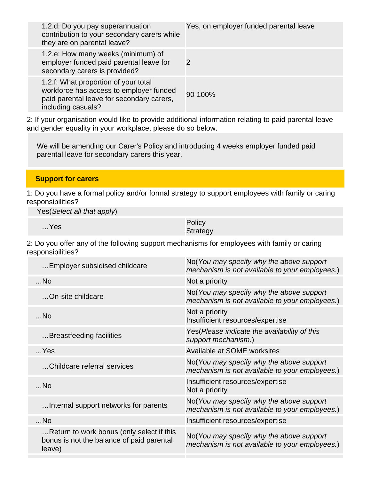| 1.2.d: Do you pay superannuation<br>contribution to your secondary carers while<br>they are on parental leave?                                     | Yes, on employer funded parental leave |
|----------------------------------------------------------------------------------------------------------------------------------------------------|----------------------------------------|
| 1.2.e: How many weeks (minimum) of<br>employer funded paid parental leave for<br>secondary carers is provided?                                     | 2                                      |
| 1.2.f: What proportion of your total<br>workforce has access to employer funded<br>paid parental leave for secondary carers,<br>including casuals? | 90-100%                                |

2: If your organisation would like to provide additional information relating to paid parental leave and gender equality in your workplace, please do so below.

We will be amending our Carer's Policy and introducing 4 weeks employer funded paid parental leave for secondary carers this year.

#### **Support for carers**

1: Do you have a formal policy and/or formal strategy to support employees with family or caring responsibilities?

Yes(Select all that apply)

|        | Policy   |
|--------|----------|
| $$ Yes | Strategy |

2: Do you offer any of the following support mechanisms for employees with family or caring responsibilities?

| Employer subsidised childcare                                                                    | No(You may specify why the above support<br>mechanism is not available to your employees.) |
|--------------------------------------------------------------------------------------------------|--------------------------------------------------------------------------------------------|
| $$ No                                                                                            | Not a priority                                                                             |
| On-site childcare                                                                                | No(You may specify why the above support<br>mechanism is not available to your employees.) |
| $$ No                                                                                            | Not a priority<br>Insufficient resources/expertise                                         |
| Breastfeeding facilities                                                                         | Yes (Please indicate the availability of this<br>support mechanism.)                       |
| $$ Yes                                                                                           | Available at SOME worksites                                                                |
| Childcare referral services                                                                      | No(You may specify why the above support<br>mechanism is not available to your employees.) |
| $$ No                                                                                            | Insufficient resources/expertise<br>Not a priority                                         |
| Internal support networks for parents                                                            | No(You may specify why the above support<br>mechanism is not available to your employees.) |
| $$ No                                                                                            | Insufficient resources/expertise                                                           |
| Return to work bonus (only select if this<br>bonus is not the balance of paid parental<br>leave) | No(You may specify why the above support<br>mechanism is not available to your employees.) |
|                                                                                                  |                                                                                            |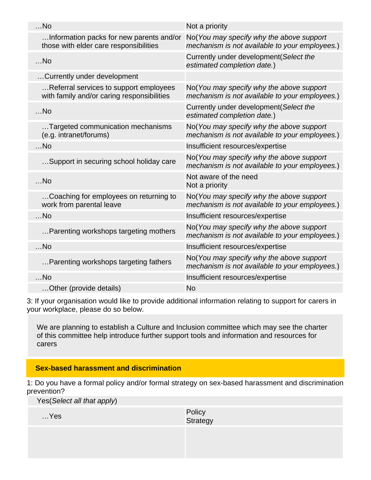| $$ No                                                                                | Not a priority                                                                             |
|--------------------------------------------------------------------------------------|--------------------------------------------------------------------------------------------|
| Information packs for new parents and/or<br>those with elder care responsibilities   | No(You may specify why the above support<br>mechanism is not available to your employees.) |
| $$ No                                                                                | Currently under development (Select the<br>estimated completion date.)                     |
| Currently under development                                                          |                                                                                            |
| Referral services to support employees<br>with family and/or caring responsibilities | No(You may specify why the above support<br>mechanism is not available to your employees.) |
| $$ No                                                                                | Currently under development (Select the<br>estimated completion date.)                     |
| Targeted communication mechanisms<br>(e.g. intranet/forums)                          | No(You may specify why the above support<br>mechanism is not available to your employees.) |
| $$ No                                                                                | Insufficient resources/expertise                                                           |
| Support in securing school holiday care                                              | No(You may specify why the above support<br>mechanism is not available to your employees.) |
| $$ No                                                                                | Not aware of the need<br>Not a priority                                                    |
| Coaching for employees on returning to<br>work from parental leave                   | No(You may specify why the above support<br>mechanism is not available to your employees.) |
| $$ No                                                                                | Insufficient resources/expertise                                                           |
| Parenting workshops targeting mothers                                                | No(You may specify why the above support<br>mechanism is not available to your employees.) |
| $$ No                                                                                | Insufficient resources/expertise                                                           |
| Parenting workshops targeting fathers                                                | No(You may specify why the above support<br>mechanism is not available to your employees.) |
| $$ No                                                                                | Insufficient resources/expertise                                                           |
| Other (provide details)                                                              | <b>No</b>                                                                                  |

3: If your organisation would like to provide additional information relating to support for carers in your workplace, please do so below.

We are planning to establish a Culture and Inclusion committee which may see the charter of this committee help introduce further support tools and information and resources for carers

#### **Sex-based harassment and discrimination**

1: Do you have a formal policy and/or formal strategy on sex-based harassment and discrimination prevention?

|  | Yes(Select all that apply) |  |  |  |
|--|----------------------------|--|--|--|
|--|----------------------------|--|--|--|

…Yes Policy Policy Product in the Policy Policy Product in the Policy Product in the Policy Product in the Policy Product in the Policy Product in the Policy Product in the Policy Product in the Policy Product in the Polic **Strategy**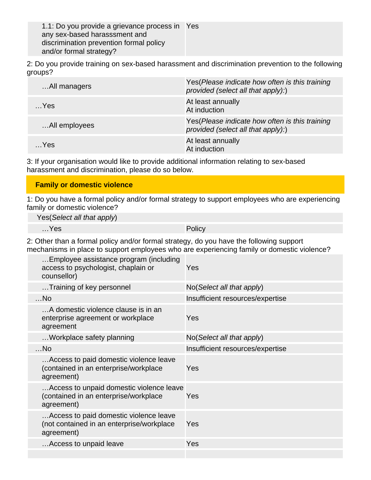1.1: Do you provide a grievance process in Yes any sex-based harasssment and discrimination prevention formal policy and/or formal strategy?

2: Do you provide training on sex-based harassment and discrimination prevention to the following groups?

| All managers  | Yes (Please indicate how often is this training<br>provided (select all that apply):) |
|---------------|---------------------------------------------------------------------------------------|
| $$ Yes        | At least annually<br>At induction                                                     |
| All employees | Yes (Please indicate how often is this training<br>provided (select all that apply):) |
| $$ Yes        | At least annually<br>At induction                                                     |

3: If your organisation would like to provide additional information relating to sex-based harassment and discrimination, please do so below.

#### **Family or domestic violence**

1: Do you have a formal policy and/or formal strategy to support employees who are experiencing family or domestic violence?

Yes(Select all that apply)

|   |  | Yes |
|---|--|-----|
| . |  |     |

Policy

2: Other than a formal policy and/or formal strategy, do you have the following support mechanisms in place to support employees who are experiencing family or domestic violence?

| Employee assistance program (including<br>access to psychologist, chaplain or<br>counsellor)      | Yes                                  |
|---------------------------------------------------------------------------------------------------|--------------------------------------|
| Training of key personnel                                                                         | $No(Select \textit{all} that apply)$ |
| $$ No                                                                                             | Insufficient resources/expertise     |
| A domestic violence clause is in an<br>enterprise agreement or workplace<br>agreement             | Yes                                  |
| Workplace safety planning                                                                         | No (Select all that apply)           |
| $$ No                                                                                             | Insufficient resources/expertise     |
| Access to paid domestic violence leave<br>(contained in an enterprise/workplace<br>agreement)     | Yes                                  |
| Access to unpaid domestic violence leave<br>(contained in an enterprise/workplace<br>agreement)   | Yes                                  |
| Access to paid domestic violence leave<br>(not contained in an enterprise/workplace<br>agreement) | Yes                                  |
| Access to unpaid leave                                                                            | Yes                                  |
|                                                                                                   |                                      |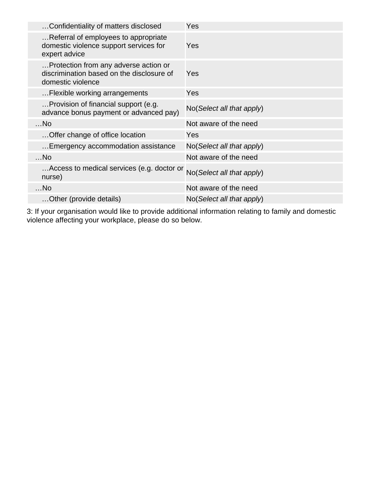| Confidentiality of matters disclosed                                                                    | Yes                                  |
|---------------------------------------------------------------------------------------------------------|--------------------------------------|
| Referral of employees to appropriate<br>domestic violence support services for<br>expert advice         | Yes                                  |
| Protection from any adverse action or<br>discrimination based on the disclosure of<br>domestic violence | Yes                                  |
| Flexible working arrangements                                                                           | Yes                                  |
| Provision of financial support (e.g.<br>advance bonus payment or advanced pay)                          | No(Select all that apply)            |
| $$ No                                                                                                   | Not aware of the need                |
| Offer change of office location                                                                         | Yes                                  |
| Emergency accommodation assistance                                                                      | $No(Select \textit{all} that apply)$ |
| $$ No                                                                                                   | Not aware of the need                |
| Access to medical services (e.g. doctor or<br>nurse)                                                    | No(Select all that apply)            |
| $$ No                                                                                                   | Not aware of the need                |
| Other (provide details)                                                                                 | $No(Select \textit{all} that apply)$ |

3: If your organisation would like to provide additional information relating to family and domestic violence affecting your workplace, please do so below.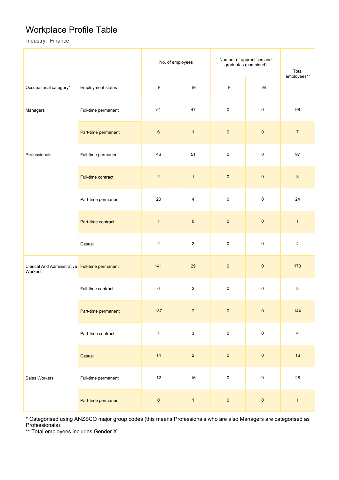### Workplace Profile Table

Industry: Finance

|                                                            |                          | No. of employees |                | Number of apprentices and<br>graduates (combined) | Total               |                |
|------------------------------------------------------------|--------------------------|------------------|----------------|---------------------------------------------------|---------------------|----------------|
| Occupational category*                                     | <b>Employment status</b> | $\mathsf F$<br>M |                | F                                                 | M                   | employees**    |
| Managers                                                   | Full-time permanent      | 51               | 47             | $\pmb{0}$                                         | $\pmb{0}$           | 98             |
|                                                            | Part-time permanent      | $\,6\,$          | $\mathbf{1}$   | $\pmb{0}$                                         | $\pmb{0}$           | $\overline{7}$ |
| Professionals                                              | Full-time permanent      | 46               | 51             | $\pmb{0}$                                         | $\pmb{0}$           | 97             |
|                                                            | Full-time contract       | $\overline{2}$   | $\mathbf{1}$   | $\pmb{0}$                                         | $\pmb{0}$           | $\mathbf{3}$   |
|                                                            | Part-time permanent      | 20               | $\overline{4}$ | $\pmb{0}$                                         | $\pmb{0}$           | 24             |
|                                                            | Part-time contract       | $\mathbf{1}$     | $\pmb{0}$      | $\pmb{0}$                                         | $\pmb{0}$           | $\mathbf{1}$   |
|                                                            | Casual                   | $\overline{2}$   | $\overline{2}$ | $\pmb{0}$                                         | $\pmb{0}$           | 4              |
| Clerical And Administrative Full-time permanent<br>Workers |                          | 141              | 29             | $\pmb{0}$                                         | $\pmb{0}$           | 170            |
|                                                            | Full-time contract       | $\,6$            | $\overline{2}$ | $\pmb{0}$                                         | $\mathsf 0$         | 8              |
|                                                            | Part-time permanent      | 137              | $\overline{7}$ | $\pmb{0}$                                         | $\pmb{0}$           | 144            |
|                                                            | Part-time contract       | $\mathbf{1}$     | $\mathbf{3}$   | $\mathbf 0$                                       | $\mathbf 0$         | $\overline{4}$ |
|                                                            | Casual                   | 14               | $\overline{c}$ | $\pmb{0}$                                         | $\pmb{0}$           | $16\,$         |
| Sales Workers                                              | Full-time permanent      | $12\,$           | $16\,$         | $\pmb{0}$                                         | $\mathsf{O}\xspace$ | 28             |
|                                                            | Part-time permanent      | $\pmb{0}$        | $\mathbf{1}$   | $\pmb{0}$                                         | $\pmb{0}$           | $\mathbf{1}$   |

\* Categorised using ANZSCO major group codes (this means Professionals who are also Managers are categorised as Professionals)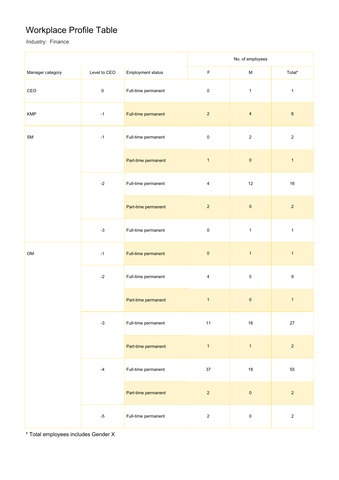## Workplace Profile Table

Industry: Finance

|                  |              |                                                  | No. of employees |                |                  |
|------------------|--------------|--------------------------------------------------|------------------|----------------|------------------|
| Manager category | Level to CEO | Employment status                                | $\mathsf F$      | ${\sf M}$      | Total*           |
| CEO              | $\pmb{0}$    | Full-time permanent                              | $\pmb{0}$        | $\mathbf{1}$   | $\mathbf{1}$     |
| <b>KMP</b>       | $-1$         | Full-time permanent                              | $\overline{2}$   | $\overline{4}$ | $\bf 6$          |
| ${\sf SM}$       | $-1$         | Full-time permanent                              | $\mathsf 0$      | $\sqrt{2}$     | $\overline{2}$   |
|                  |              | Part-time permanent                              | $\overline{1}$   | $\pmb{0}$      | $\mathbf{1}$     |
|                  | $-2$         | Full-time permanent                              | 4                | $12\,$         | $16\,$           |
|                  |              | Part-time permanent                              | $\overline{2}$   | $\pmb{0}$      | $\overline{2}$   |
|                  | $-3$         | Full-time permanent<br>$\pmb{0}$<br>$\mathbf{1}$ |                  | $\mathbf 1$    |                  |
| OM               | $-1$         | Full-time permanent                              | $\pmb{0}$        | $\mathbf{1}$   | $\mathbf{1}$     |
| $-2$             |              | Full-time permanent                              | 4                | $\mathbf 5$    | $\boldsymbol{9}$ |
|                  |              | Part-time permanent                              | $\mathbf{1}$     | $\pmb{0}$      | $\mathbf{1}$     |
|                  | $-3$         | Full-time permanent                              | 11               | $16\,$         | 27               |
|                  |              | Part-time permanent                              | $\overline{1}$   | $\overline{1}$ | $\overline{2}$   |
|                  | $-4$         | Full-time permanent                              | 37               | $18\,$         | 55               |
|                  |              | Part-time permanent                              | $\mathbf 2$      | $\pmb{0}$      | $\overline{2}$   |
|                  | $-5$         | Full-time permanent                              | $\overline{2}$   | $\pmb{0}$      | $\overline{2}$   |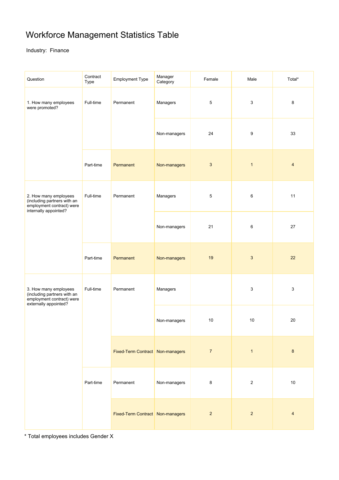## Workforce Management Statistics Table

#### Industry: Finance

| Question                                                                                                   | Contract<br>Type | <b>Employment Type</b>           | Manager<br>Category | Female         | Male           | Total*         |
|------------------------------------------------------------------------------------------------------------|------------------|----------------------------------|---------------------|----------------|----------------|----------------|
| 1. How many employees<br>were promoted?                                                                    | Full-time        | Permanent                        | Managers            | 5              | 3              | 8              |
|                                                                                                            |                  |                                  | Non-managers        | 24             | 9              | 33             |
|                                                                                                            | Part-time        | Permanent                        | Non-managers        | $\mathbf{3}$   | $\mathbf{1}$   | $\overline{4}$ |
| 2. How many employees<br>(including partners with an<br>employment contract) were<br>internally appointed? | Full-time        | Permanent                        | Managers            | 5              | $\,6\,$        | 11             |
|                                                                                                            |                  |                                  | Non-managers        | 21             | 6              | 27             |
|                                                                                                            | Part-time        | Permanent                        | Non-managers        | 19             | $\mathbf{3}$   | 22             |
| 3. How many employees<br>(including partners with an<br>employment contract) were<br>externally appointed? | Full-time        | Permanent                        | Managers            |                | 3              | 3              |
|                                                                                                            |                  |                                  | Non-managers        | 10             | 10             | 20             |
|                                                                                                            |                  | Fixed-Term Contract Non-managers |                     | $\overline{7}$ | $\mathbf{1}$   | $\bf 8$        |
|                                                                                                            | Part-time        | Permanent                        | Non-managers        | 8              | $\overline{2}$ | $10$           |
|                                                                                                            |                  | Fixed-Term Contract Non-managers |                     | $\overline{2}$ | $\overline{2}$ | $\overline{4}$ |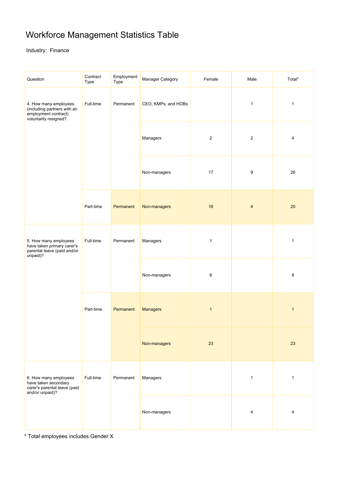## Workforce Management Statistics Table

Industry: Finance

| Question                                                                                              | Contract<br>Type | Employment<br>Type | Manager Category    | Female       | Male           | Total*       |
|-------------------------------------------------------------------------------------------------------|------------------|--------------------|---------------------|--------------|----------------|--------------|
| 4. How many employees<br>(including partners with an<br>employment contract)<br>voluntarily resigned? | Full-time        | Permanent          | CEO, KMPs, and HOBs |              | $\mathbf{1}$   | $\mathbf{1}$ |
|                                                                                                       |                  |                    | Managers            | $\sqrt{2}$   | $\sqrt{2}$     | 4            |
|                                                                                                       |                  |                    | Non-managers        | 17           | 9              | 26           |
|                                                                                                       | Part-time        | Permanent          | Non-managers        | 16           | $\overline{4}$ | 20           |
| 5. How many employees<br>have taken primary carer's<br>parental leave (paid and/or<br>unpaid)?        | Full-time        | Permanent          | Managers            | $\mathbf{1}$ |                | $\mathbf{1}$ |
|                                                                                                       |                  |                    | Non-managers        | 8            |                | 8            |
|                                                                                                       | Part-time        | Permanent          | <b>Managers</b>     | $\mathbf{1}$ |                | $\mathbf{1}$ |
|                                                                                                       |                  |                    | Non-managers        | 23           |                | 23           |
| 6. How many employees<br>have taken secondary<br>carer's parental leave (paid<br>and/or unpaid)?      | Full-time        | Permanent          | Managers            |              | $\mathbf{1}$   | $\mathbf{1}$ |
|                                                                                                       |                  |                    | Non-managers        |              | $\overline{4}$ | 4            |